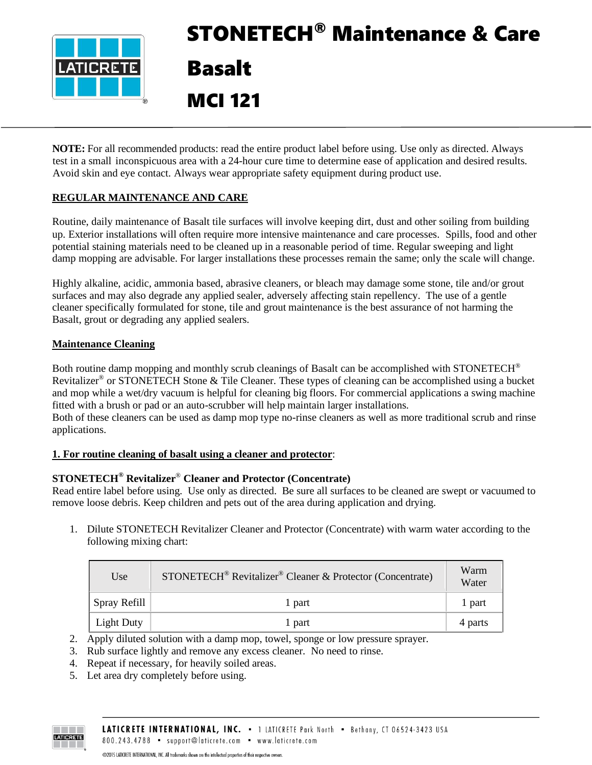

# STONETECH® Maintenance & Care Basalt MCI 121

**NOTE:** For all recommended products: read the entire product label before using. Use only as directed. Always test in a small inconspicuous area with a 24-hour cure time to determine ease of application and desired results. Avoid skin and eye contact. Always wear appropriate safety equipment during product use.

# **REGULAR MAINTENANCE AND CARE**

Routine, daily maintenance of Basalt tile surfaces will involve keeping dirt, dust and other soiling from building up. Exterior installations will often require more intensive maintenance and care processes. Spills, food and other potential staining materials need to be cleaned up in a reasonable period of time. Regular sweeping and light damp mopping are advisable. For larger installations these processes remain the same; only the scale will change.

Highly alkaline, acidic, ammonia based, abrasive cleaners, or bleach may damage some stone, tile and/or grout surfaces and may also degrade any applied sealer, adversely affecting stain repellency. The use of a gentle cleaner specifically formulated for stone, tile and grout maintenance is the best assurance of not harming the Basalt, grout or degrading any applied sealers.

#### **Maintenance Cleaning**

Both routine damp mopping and monthly scrub cleanings of Basalt can be accomplished with STONETECH<sup>®</sup> Revitalizer<sup>®</sup> or STONETECH Stone & Tile Cleaner. These types of cleaning can be accomplished using a bucket and mop while a wet/dry vacuum is helpful for cleaning big floors. For commercial applications a swing machine fitted with a brush or pad or an auto-scrubber will help maintain larger installations. Both of these cleaners can be used as damp mop type no-rinse cleaners as well as more traditional scrub and rinse applications.

# **1. For routine cleaning of basalt using a cleaner and protector**:

# **STONETECH® Revitalizer**® **Cleaner and Protector (Concentrate)**

Read entire label before using. Use only as directed. Be sure all surfaces to be cleaned are swept or vacuumed to remove loose debris. Keep children and pets out of the area during application and drying.

1. Dilute STONETECH Revitalizer Cleaner and Protector (Concentrate) with warm water according to the following mixing chart:

| Use               | STONETECH <sup>®</sup> Revitalizer <sup>®</sup> Cleaner & Protector (Concentrate) | Warm<br>Water |
|-------------------|-----------------------------------------------------------------------------------|---------------|
| $Spray$ Refill    | 1 part                                                                            | 1 part        |
| <b>Light Duty</b> | 1 part                                                                            | 4 parts       |

2. Apply diluted solution with a damp mop, towel, sponge or low pressure sprayer.

- 3. Rub surface lightly and remove any excess cleaner. No need to rinse.
- 4. Repeat if necessary, for heavily soiled areas.
- 5. Let area dry completely before using.

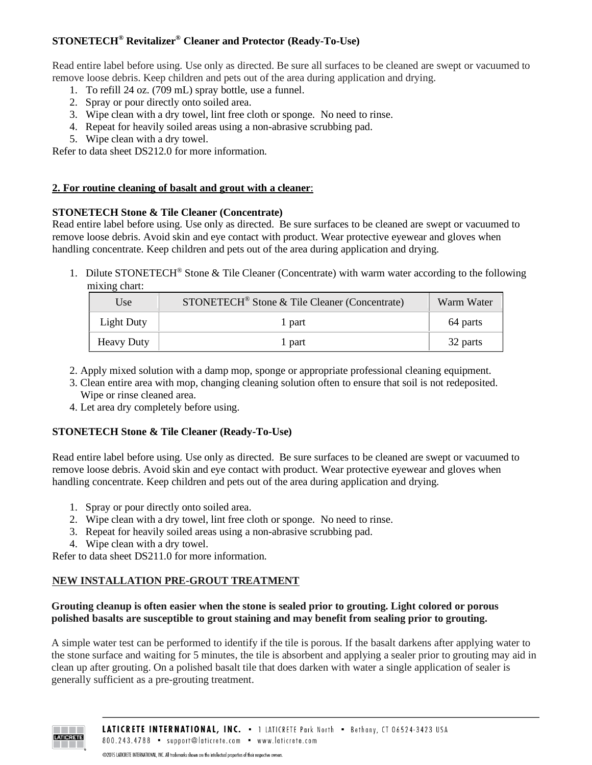# **STONETECH® Revitalizer® Cleaner and Protector (Ready-To-Use)**

Read entire label before using. Use only as directed. Be sure all surfaces to be cleaned are swept or vacuumed to remove loose debris. Keep children and pets out of the area during application and drying.

- 1. To refill 24 oz. (709 mL) spray bottle, use a funnel.
- 2. Spray or pour directly onto soiled area.
- 3. Wipe clean with a dry towel, lint free cloth or sponge. No need to rinse.
- 4. Repeat for heavily soiled areas using a non-abrasive scrubbing pad.
- 5. Wipe clean with a dry towel.

Refer to data sheet DS212.0 for more information.

#### **2. For routine cleaning of basalt and grout with a cleaner**:

#### **STONETECH Stone & Tile Cleaner (Concentrate)**

Read entire label before using. Use only as directed. Be sure surfaces to be cleaned are swept or vacuumed to remove loose debris. Avoid skin and eye contact with product. Wear protective eyewear and gloves when handling concentrate. Keep children and pets out of the area during application and drying.

1. Dilute STONETECH® Stone & Tile Cleaner (Concentrate) with warm water according to the following mixing chart:

| Use               | STONETECH <sup>®</sup> Stone & Tile Cleaner (Concentrate) | Warm Water |
|-------------------|-----------------------------------------------------------|------------|
| Light Duty        | 1 part                                                    | 64 parts   |
| <b>Heavy Duty</b> | l part                                                    | 32 parts   |

- 2. Apply mixed solution with a damp mop, sponge or appropriate professional cleaning equipment.
- 3. Clean entire area with mop, changing cleaning solution often to ensure that soil is not redeposited. Wipe or rinse cleaned area.
- 4. Let area dry completely before using.

#### **STONETECH Stone & Tile Cleaner (Ready-To-Use)**

Read entire label before using. Use only as directed. Be sure surfaces to be cleaned are swept or vacuumed to remove loose debris. Avoid skin and eye contact with product. Wear protective eyewear and gloves when handling concentrate. Keep children and pets out of the area during application and drying.

- 1. Spray or pour directly onto soiled area.
- 2. Wipe clean with a dry towel, lint free cloth or sponge. No need to rinse.
- 3. Repeat for heavily soiled areas using a non-abrasive scrubbing pad.
- 4. Wipe clean with a dry towel.

Refer to data sheet DS211.0 for more information.

# **NEW INSTALLATION PRE-GROUT TREATMENT**

#### **Grouting cleanup is often easier when the stone is sealed prior to grouting. Light colored or porous polished basalts are susceptible to grout staining and may benefit from sealing prior to grouting.**

A simple water test can be performed to identify if the tile is porous. If the basalt darkens after applying water to the stone surface and waiting for 5 minutes, the tile is absorbent and applying a sealer prior to grouting may aid in clean up after grouting. On a polished basalt tile that does darken with water a single application of sealer is generally sufficient as a pre-grouting treatment.

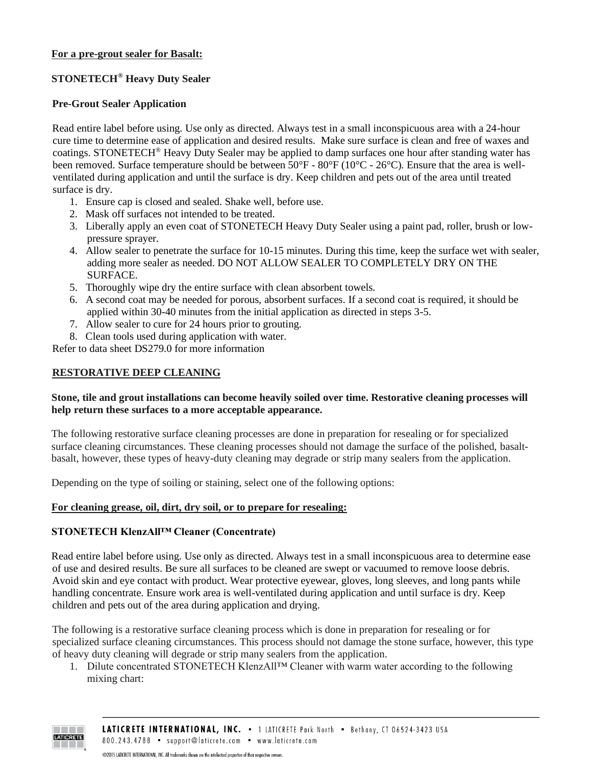# **For a pre-grout sealer for Basalt:**

# **STONETECH® Heavy Duty Sealer**

# **Pre-Grout Sealer Application**

Read entire label before using. Use only as directed. Always test in a small inconspicuous area with a 24-hour cure time to determine ease of application and desired results. Make sure surface is clean and free of waxes and coatings. STONETECH® Heavy Duty Sealer may be applied to damp surfaces one hour after standing water has been removed. Surface temperature should be between 50°F - 80°F (10°C - 26°C). Ensure that the area is wellventilated during application and until the surface is dry. Keep children and pets out of the area until treated surface is dry.

- 1. Ensure cap is closed and sealed. Shake well, before use.
- 2. Mask off surfaces not intended to be treated.
- 3. Liberally apply an even coat of STONETECH Heavy Duty Sealer using a paint pad, roller, brush or lowpressure sprayer.
- 4. Allow sealer to penetrate the surface for 10-15 minutes. During this time, keep the surface wet with sealer, adding more sealer as needed. DO NOT ALLOW SEALER TO COMPLETELY DRY ON THE SURFACE.
- 5. Thoroughly wipe dry the entire surface with clean absorbent towels.
- 6. A second coat may be needed for porous, absorbent surfaces. If a second coat is required, it should be applied within 30-40 minutes from the initial application as directed in steps 3-5.
- 7. Allow sealer to cure for 24 hours prior to grouting.
- 8. Clean tools used during application with water.

Refer to data sheet DS279.0 for more information

## **RESTORATIVE DEEP CLEANING**

#### **Stone, tile and grout installations can become heavily soiled over time. Restorative cleaning processes will help return these surfaces to a more acceptable appearance.**

The following restorative surface cleaning processes are done in preparation for resealing or for specialized surface cleaning circumstances. These cleaning processes should not damage the surface of the polished, basaltbasalt, however, these types of heavy-duty cleaning may degrade or strip many sealers from the application.

Depending on the type of soiling or staining, select one of the following options:

# **For cleaning grease, oil, dirt, dry soil, or to prepare for resealing:**

#### **STONETECH KlenzAll™ Cleaner (Concentrate)**

Read entire label before using. Use only as directed. Always test in a small inconspicuous area to determine ease of use and desired results. Be sure all surfaces to be cleaned are swept or vacuumed to remove loose debris. Avoid skin and eye contact with product. Wear protective eyewear, gloves, long sleeves, and long pants while handling concentrate. Ensure work area is well-ventilated during application and until surface is dry. Keep children and pets out of the area during application and drying.

The following is a restorative surface cleaning process which is done in preparation for resealing or for specialized surface cleaning circumstances. This process should not damage the stone surface, however, this type of heavy duty cleaning will degrade or strip many sealers from the application.

1. Dilute concentrated STONETECH KlenzAll™ Cleaner with warm water according to the following mixing chart:

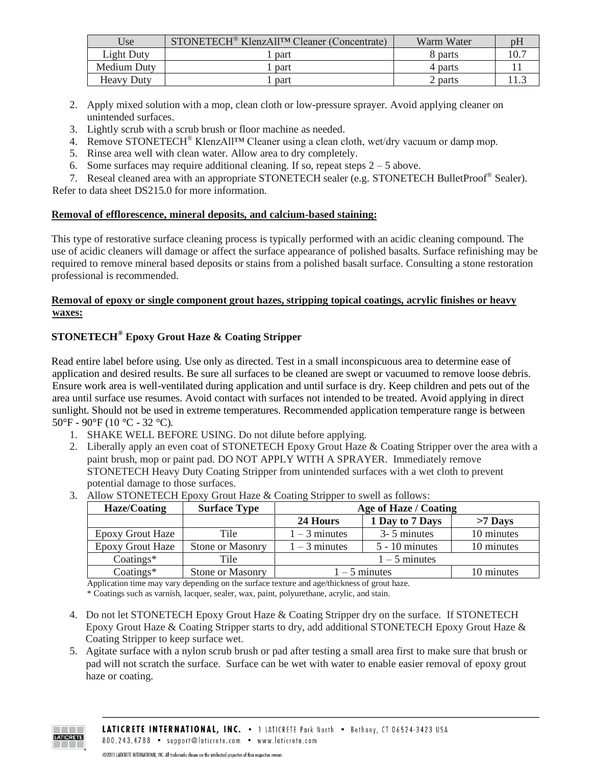| Use               | STONETECH <sup>®</sup> KlenzAll <sup>TM</sup> Cleaner (Concentrate) | Warm Water |  |
|-------------------|---------------------------------------------------------------------|------------|--|
| Light Duty        | part                                                                | 8 parts    |  |
| Medium Duty       | part                                                                | 4 parts    |  |
| <b>Heavy Duty</b> | part                                                                | 2 parts    |  |

- 2. Apply mixed solution with a mop, clean cloth or low-pressure sprayer. Avoid applying cleaner on unintended surfaces.
- 3. Lightly scrub with a scrub brush or floor machine as needed.
- 4. Remove STONETECH® KlenzAll™ Cleaner using a clean cloth, wet/dry vacuum or damp mop.
- 5. Rinse area well with clean water. Allow area to dry completely.
- 6. Some surfaces may require additional cleaning. If so, repeat steps  $2 5$  above.
- 7. Reseal cleaned area with an appropriate STONETECH sealer (e.g. STONETECH BulletProof<sup>®</sup> Sealer).

Refer to data sheet DS215.0 for more information.

#### **Removal of efflorescence, mineral deposits, and calcium-based staining:**

This type of restorative surface cleaning process is typically performed with an acidic cleaning compound. The use of acidic cleaners will damage or affect the surface appearance of polished basalts. Surface refinishing may be required to remove mineral based deposits or stains from a polished basalt surface. Consulting a stone restoration professional is recommended.

# **Removal of epoxy or single component grout hazes, stripping topical coatings, acrylic finishes or heavy waxes:**

# **STONETECH® Epoxy Grout Haze & Coating Stripper**

Read entire label before using. Use only as directed. Test in a small inconspicuous area to determine ease of application and desired results. Be sure all surfaces to be cleaned are swept or vacuumed to remove loose debris. Ensure work area is well-ventilated during application and until surface is dry. Keep children and pets out of the area until surface use resumes. Avoid contact with surfaces not intended to be treated. Avoid applying in direct sunlight. Should not be used in extreme temperatures. Recommended application temperature range is between 50°F - 90°F (10 °C - 32 °C).

- 1. SHAKE WELL BEFORE USING. Do not dilute before applying.
- 2. Liberally apply an even coat of STONETECH Epoxy Grout Haze & Coating Stripper over the area with a paint brush, mop or paint pad. DO NOT APPLY WITH A SPRAYER. Immediately remove STONETECH Heavy Duty Coating Stripper from unintended surfaces with a wet cloth to prevent potential damage to those surfaces.

| Haze/Coating            | <b>Surface Type</b>     | Age of Haze / Coating |                  |            |
|-------------------------|-------------------------|-----------------------|------------------|------------|
|                         |                         | 24 Hours              | 1 Day to 7 Days  | $>7$ Days  |
| <b>Epoxy Grout Haze</b> | Tile                    | $1 - 3$ minutes       | 3-5 minutes      | 10 minutes |
| <b>Epoxy Grout Haze</b> | <b>Stone or Masonry</b> | $1 - 3$ minutes       | $5 - 10$ minutes | 10 minutes |
| $Coatings*$             | Tile                    | $1 - 5$ minutes       |                  |            |
| $Coatings*$             | Stone or Masonry        | $1 - 5$ minutes       |                  | 10 minutes |

3. Allow STONETECH Epoxy Grout Haze & Coating Stripper to swell as follows:

Application time may vary depending on the surface texture and age/thickness of grout haze. \* Coatings such as varnish, lacquer, sealer, wax, paint, polyurethane, acrylic, and stain.

- 4. Do not let STONETECH Epoxy Grout Haze & Coating Stripper dry on the surface. If STONETECH Epoxy Grout Haze & Coating Stripper starts to dry, add additional STONETECH Epoxy Grout Haze & Coating Stripper to keep surface wet.
- 5. Agitate surface with a nylon scrub brush or pad after testing a small area first to make sure that brush or pad will not scratch the surface. Surface can be wet with water to enable easier removal of epoxy grout haze or coating.

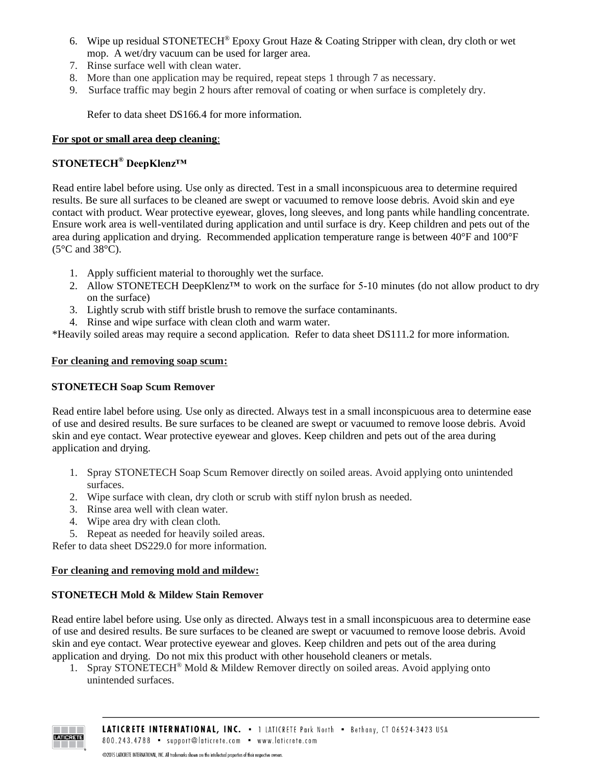- 6. Wipe up residual STONETECH<sup>®</sup> Epoxy Grout Haze  $\&$  Coating Stripper with clean, dry cloth or wet mop. A wet/dry vacuum can be used for larger area.
- 7. Rinse surface well with clean water.
- 8. More than one application may be required, repeat steps 1 through 7 as necessary.
- 9. Surface traffic may begin 2 hours after removal of coating or when surface is completely dry.

Refer to data sheet DS166.4 for more information.

## **For spot or small area deep cleaning**:

# **STONETECH® DeepKlenz™**

Read entire label before using. Use only as directed. Test in a small inconspicuous area to determine required results. Be sure all surfaces to be cleaned are swept or vacuumed to remove loose debris. Avoid skin and eye contact with product. Wear protective eyewear, gloves, long sleeves, and long pants while handling concentrate. Ensure work area is well-ventilated during application and until surface is dry. Keep children and pets out of the area during application and drying. Recommended application temperature range is between 40°F and 100°F (5°C and 38°C).

- 1. Apply sufficient material to thoroughly wet the surface.
- 2. Allow STONETECH DeepKlenz<sup>™</sup> to work on the surface for 5-10 minutes (do not allow product to dry on the surface)
- 3. Lightly scrub with stiff bristle brush to remove the surface contaminants.
- 4. Rinse and wipe surface with clean cloth and warm water.

\*Heavily soiled areas may require a second application. Refer to data sheet DS111.2 for more information.

#### **For cleaning and removing soap scum:**

# **STONETECH Soap Scum Remover**

Read entire label before using. Use only as directed. Always test in a small inconspicuous area to determine ease of use and desired results. Be sure surfaces to be cleaned are swept or vacuumed to remove loose debris. Avoid skin and eye contact. Wear protective eyewear and gloves. Keep children and pets out of the area during application and drying.

- 1. Spray STONETECH Soap Scum Remover directly on soiled areas. Avoid applying onto unintended surfaces.
- 2. Wipe surface with clean, dry cloth or scrub with stiff nylon brush as needed.
- 3. Rinse area well with clean water.
- 4. Wipe area dry with clean cloth.
- 5. Repeat as needed for heavily soiled areas.

Refer to data sheet DS229.0 for more information.

#### **For cleaning and removing mold and mildew:**

# **STONETECH Mold & Mildew Stain Remover**

Read entire label before using. Use only as directed. Always test in a small inconspicuous area to determine ease of use and desired results. Be sure surfaces to be cleaned are swept or vacuumed to remove loose debris. Avoid skin and eye contact. Wear protective eyewear and gloves. Keep children and pets out of the area during application and drying. Do not mix this product with other household cleaners or metals.

1. Spray STONETECH<sup>®</sup> Mold & Mildew Remover directly on soiled areas. Avoid applying onto unintended surfaces.

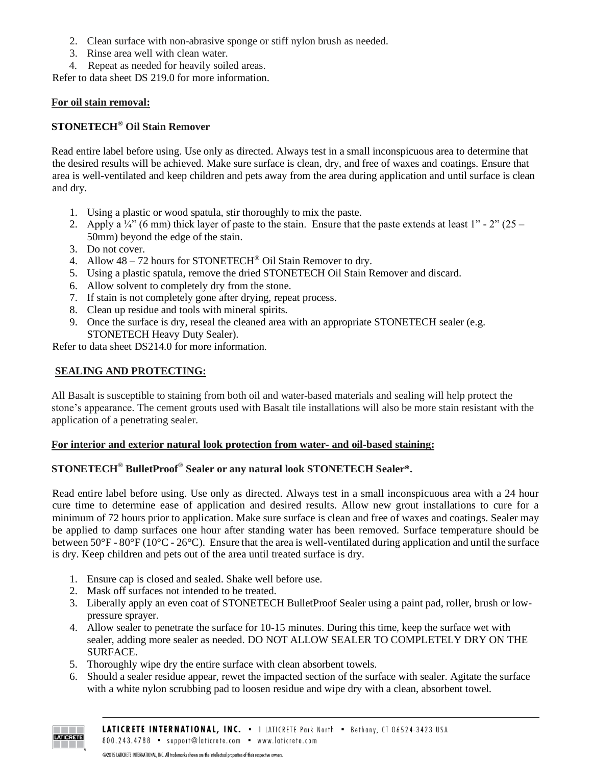- 2. Clean surface with non-abrasive sponge or stiff nylon brush as needed.
- 3. Rinse area well with clean water.
- 4. Repeat as needed for heavily soiled areas.

Refer to data sheet DS 219.0 for more information.

## **For oil stain removal:**

# **STONETECH® Oil Stain Remover**

Read entire label before using. Use only as directed. Always test in a small inconspicuous area to determine that the desired results will be achieved. Make sure surface is clean, dry, and free of waxes and coatings. Ensure that area is well-ventilated and keep children and pets away from the area during application and until surface is clean and dry.

- 1. Using a plastic or wood spatula, stir thoroughly to mix the paste.
- 2. Apply a  $\frac{1}{4}$ " (6 mm) thick layer of paste to the stain. Ensure that the paste extends at least 1" 2" (25 50mm) beyond the edge of the stain.
- 3. Do not cover.
- 4. Allow  $48 72$  hours for STONETECH<sup>®</sup> Oil Stain Remover to dry.
- 5. Using a plastic spatula, remove the dried STONETECH Oil Stain Remover and discard.
- 6. Allow solvent to completely dry from the stone.
- 7. If stain is not completely gone after drying, repeat process.
- 8. Clean up residue and tools with mineral spirits.
- 9. Once the surface is dry, reseal the cleaned area with an appropriate STONETECH sealer (e.g. STONETECH Heavy Duty Sealer).

Refer to data sheet DS214.0 for more information.

# **SEALING AND PROTECTING:**

All Basalt is susceptible to staining from both oil and water-based materials and sealing will help protect the stone's appearance. The cement grouts used with Basalt tile installations will also be more stain resistant with the application of a penetrating sealer.

#### **For interior and exterior natural look protection from water- and oil-based staining:**

# **STONETECH® BulletProof® Sealer or any natural look STONETECH Sealer\*.**

Read entire label before using. Use only as directed. Always test in a small inconspicuous area with a 24 hour cure time to determine ease of application and desired results. Allow new grout installations to cure for a minimum of 72 hours prior to application. Make sure surface is clean and free of waxes and coatings. Sealer may be applied to damp surfaces one hour after standing water has been removed. Surface temperature should be between 50°F - 80°F (10°C - 26°C). Ensure that the area is well-ventilated during application and until the surface is dry. Keep children and pets out of the area until treated surface is dry.

- 1. Ensure cap is closed and sealed. Shake well before use.
- 2. Mask off surfaces not intended to be treated.
- 3. Liberally apply an even coat of STONETECH BulletProof Sealer using a paint pad, roller, brush or lowpressure sprayer.
- 4. Allow sealer to penetrate the surface for 10-15 minutes. During this time, keep the surface wet with sealer, adding more sealer as needed. DO NOT ALLOW SEALER TO COMPLETELY DRY ON THE SURFACE.
- 5. Thoroughly wipe dry the entire surface with clean absorbent towels.
- 6. Should a sealer residue appear, rewet the impacted section of the surface with sealer. Agitate the surface with a white nylon scrubbing pad to loosen residue and wipe dry with a clean, absorbent towel.

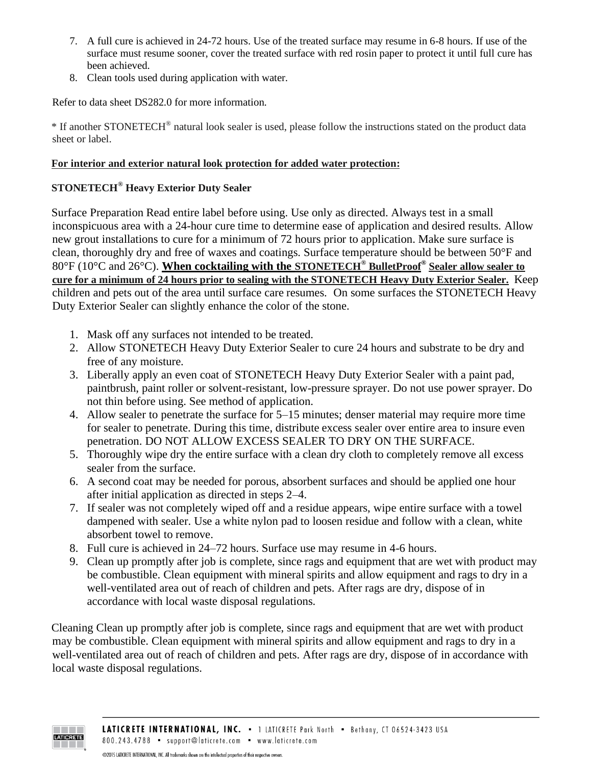- 7. A full cure is achieved in 24-72 hours. Use of the treated surface may resume in 6-8 hours. If use of the surface must resume sooner, cover the treated surface with red rosin paper to protect it until full cure has been achieved.
- 8. Clean tools used during application with water.

Refer to data sheet DS282.0 for more information.

\* If another STONETECH® natural look sealer is used, please follow the instructions stated on the product data sheet or label.

# **For interior and exterior natural look protection for added water protection:**

# **STONETECH® Heavy Exterior Duty Sealer**

Surface Preparation Read entire label before using. Use only as directed. Always test in a small inconspicuous area with a 24-hour cure time to determine ease of application and desired results. Allow new grout installations to cure for a minimum of 72 hours prior to application. Make sure surface is clean, thoroughly dry and free of waxes and coatings. Surface temperature should be between 50°F and 80°F (10°C and 26°C). **When cocktailing with the STONETECH® BulletProof® Sealer allow sealer to cure for a minimum of 24 hours prior to sealing with the STONETECH Heavy Duty Exterior Sealer.** Keep children and pets out of the area until surface care resumes. On some surfaces the STONETECH Heavy Duty Exterior Sealer can slightly enhance the color of the stone.

- 1. Mask off any surfaces not intended to be treated.
- 2. Allow STONETECH Heavy Duty Exterior Sealer to cure 24 hours and substrate to be dry and free of any moisture.
- 3. Liberally apply an even coat of STONETECH Heavy Duty Exterior Sealer with a paint pad, paintbrush, paint roller or solvent-resistant, low-pressure sprayer. Do not use power sprayer. Do not thin before using. See method of application.
- 4. Allow sealer to penetrate the surface for 5–15 minutes; denser material may require more time for sealer to penetrate. During this time, distribute excess sealer over entire area to insure even penetration. DO NOT ALLOW EXCESS SEALER TO DRY ON THE SURFACE.
- 5. Thoroughly wipe dry the entire surface with a clean dry cloth to completely remove all excess sealer from the surface.
- 6. A second coat may be needed for porous, absorbent surfaces and should be applied one hour after initial application as directed in steps 2–4.
- 7. If sealer was not completely wiped off and a residue appears, wipe entire surface with a towel dampened with sealer. Use a white nylon pad to loosen residue and follow with a clean, white absorbent towel to remove.
- 8. Full cure is achieved in 24–72 hours. Surface use may resume in 4-6 hours.
- 9. Clean up promptly after job is complete, since rags and equipment that are wet with product may be combustible. Clean equipment with mineral spirits and allow equipment and rags to dry in a well-ventilated area out of reach of children and pets. After rags are dry, dispose of in accordance with local waste disposal regulations.

Cleaning Clean up promptly after job is complete, since rags and equipment that are wet with product may be combustible. Clean equipment with mineral spirits and allow equipment and rags to dry in a well-ventilated area out of reach of children and pets. After rags are dry, dispose of in accordance with local waste disposal regulations.